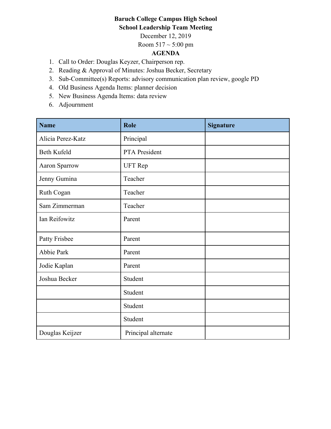## **Baruch College Campus High School School Leadership Team Meeting**

December 12, 2019

Room  $517 \sim 5:00 \text{ pm}$ 

## **AGENDA**

- 1. Call to Order: Douglas Keyzer, Chairperson rep.
- 2. Reading & Approval of Minutes: Joshua Becker, Secretary
- 3. Sub-Committee(s) Reports: advisory communication plan review, google PD
- 4. Old Business Agenda Items: planner decision
- 5. New Business Agenda Items: data review
- 6. Adjournment

| <b>Name</b>       | Role                | <b>Signature</b> |
|-------------------|---------------------|------------------|
| Alicia Perez-Katz | Principal           |                  |
| Beth Kufeld       | PTA President       |                  |
| Aaron Sparrow     | <b>UFT</b> Rep      |                  |
| Jenny Gumina      | Teacher             |                  |
| Ruth Cogan        | Teacher             |                  |
| Sam Zimmerman     | Teacher             |                  |
| Ian Reifowitz     | Parent              |                  |
| Patty Frisbee     | Parent              |                  |
| Abbie Park        | Parent              |                  |
| Jodie Kaplan      | Parent              |                  |
| Joshua Becker     | Student             |                  |
|                   | Student             |                  |
|                   | Student             |                  |
|                   | Student             |                  |
| Douglas Keijzer   | Principal alternate |                  |